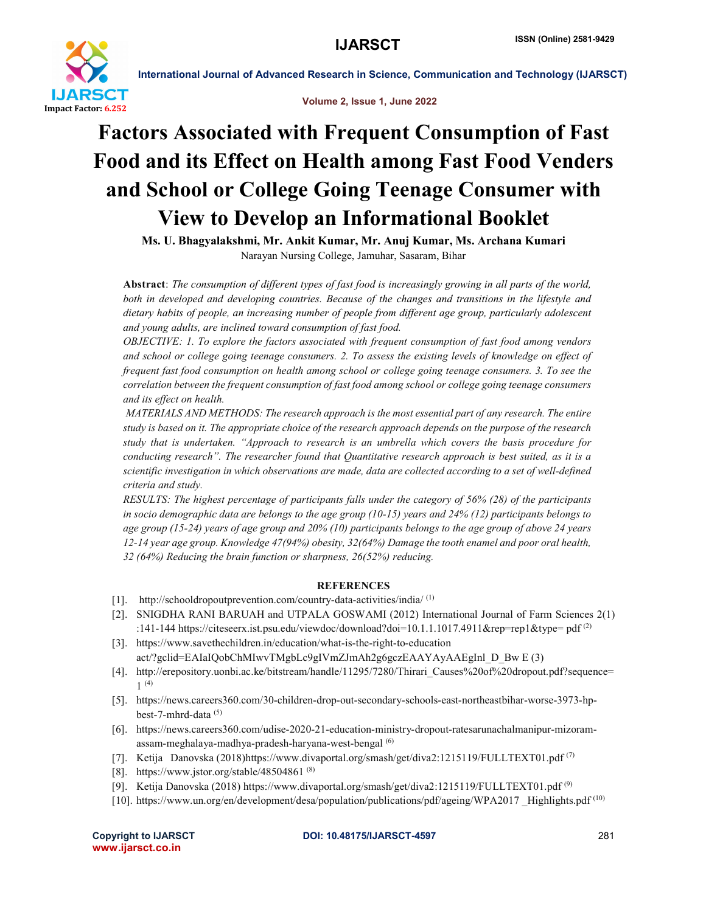

International Journal of Advanced Research in Science, Communication and Technology (IJARSCT)

Volume 2, Issue 1, June 2022

# Factors Associated with Frequent Consumption of Fast Food and its Effect on Health among Fast Food Venders and School or College Going Teenage Consumer with View to Develop an Informational Booklet

Ms. U. Bhagyalakshmi, Mr. Ankit Kumar, Mr. Anuj Kumar, Ms. Archana Kumari Narayan Nursing College, Jamuhar, Sasaram, Bihar

Abstract: *The consumption of different types of fast food is increasingly growing in all parts of the world, both in developed and developing countries. Because of the changes and transitions in the lifestyle and dietary habits of people, an increasing number of people from different age group, particularly adolescent and young adults, are inclined toward consumption of fast food.*

*OBJECTIVE: 1. To explore the factors associated with frequent consumption of fast food among vendors and school or college going teenage consumers. 2. To assess the existing levels of knowledge on effect of frequent fast food consumption on health among school or college going teenage consumers. 3. To see the correlation between the frequent consumption of fast food among school or college going teenage consumers and its effect on health.* 

*MATERIALS AND METHODS: The research approach is the most essential part of any research. The entire study is based on it. The appropriate choice of the research approach depends on the purpose of the research study that is undertaken. "Approach to research is an umbrella which covers the basis procedure for conducting research". The researcher found that Quantitative research approach is best suited, as it is a scientific investigation in which observations are made, data are collected according to a set of well-defined criteria and study.* 

*RESULTS: The highest percentage of participants falls under the category of 56% (28) of the participants in socio demographic data are belongs to the age group (10-15) years and 24% (12) participants belongs to age group (15-24) years of age group and 20% (10) participants belongs to the age group of above 24 years 12-14 year age group. Knowledge 47(94%) obesity, 32(64%) Damage the tooth enamel and poor oral health, 32 (64%) Reducing the brain function or sharpness, 26(52%) reducing.*

# REFERENCES

- [1]. http://schooldropoutprevention.com/country-data-activities/india/ (1)
- [2]. SNIGDHA RANI BARUAH and UTPALA GOSWAMI (2012) International Journal of Farm Sciences 2(1) :141-144 https://citeseerx.ist.psu.edu/viewdoc/download?doi=10.1.1.1017.4911&rep=rep1&type= pdf (2)
- [3]. https://www.savethechildren.in/education/what-is-the-right-to-education act/?gclid=EAIaIQobChMIwvTMgbLc9gIVmZJmAh2g6gczEAAYAyAAEgInl\_D\_Bw E (3)
- [4]. http://erepository.uonbi.ac.ke/bitstream/handle/11295/7280/Thirari\_Causes%20of%20dropout.pdf?sequence= 1 (4)
- [5]. https://news.careers360.com/30-children-drop-out-secondary-schools-east-northeastbihar-worse-3973-hpbest-7-mhrd-data (5)
- [6]. https://news.careers360.com/udise-2020-21-education-ministry-dropout-ratesarunachalmanipur-mizoramassam-meghalaya-madhya-pradesh-haryana-west-bengal (6)
- [7]. Ketija Danovska (2018)https://www.divaportal.org/smash/get/diva2:1215119/FULLTEXT01.pdf (7)
- [8]. https://www.jstor.org/stable/48504861<sup>(8)</sup>
- [9]. Ketija Danovska (2018) https://www.divaportal.org/smash/get/diva2:1215119/FULLTEXT01.pdf (9)
- [10]. https://www.un.org/en/development/desa/population/publications/pdf/ageing/WPA2017 \_Highlights.pdf (10)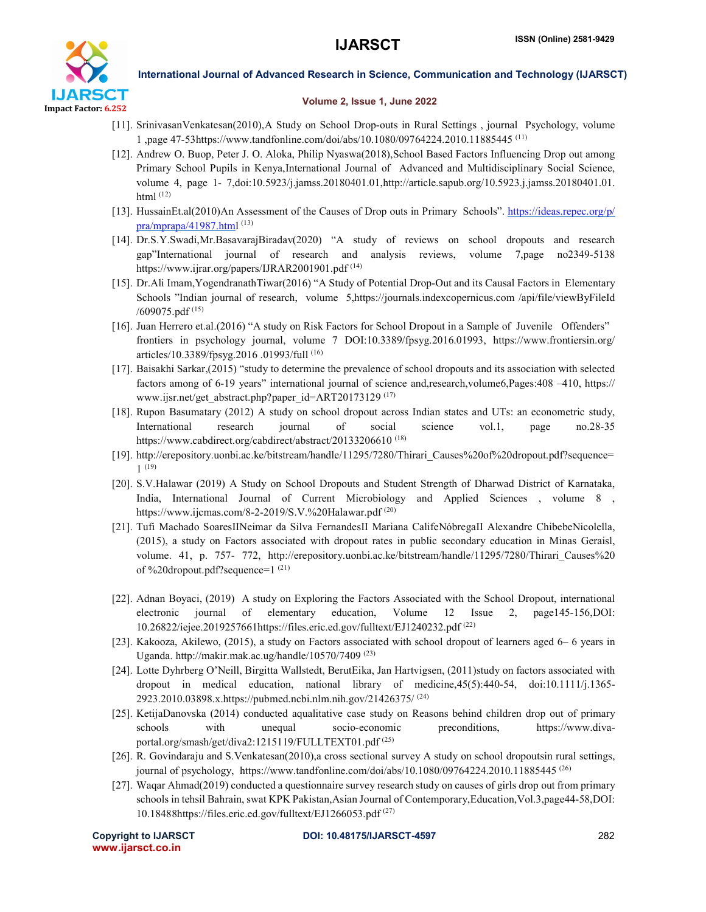

International Journal of Advanced Research in Science, Communication and Technology (IJARSCT)

### Volume 2, Issue 1, June 2022

- [11]. SrinivasanVenkatesan(2010),A Study on School Drop-outs in Rural Settings , journal Psychology, volume 1 ,page 47-53https://www.tandfonline.com/doi/abs/10.1080/09764224.2010.11885445 (11)
- [12]. Andrew O. Buop, Peter J. O. Aloka, Philip Nyaswa(2018),School Based Factors Influencing Drop out among Primary School Pupils in Kenya,International Journal of Advanced and Multidisciplinary Social Science, volume 4, page 1- 7,doi:10.5923/j.jamss.20180401.01,http://article.sapub.org/10.5923.j.jamss.20180401.01. html (12)
- [13]. HussainEt.al(2010)An Assessment of the Causes of Drop outs in Primary Schools". https://ideas.repec.org/p/  $pra/mprapa/41987.html$  (13)
- [14]. Dr.S.Y.Swadi,Mr.BasavarajBiradav(2020) "A study of reviews on school dropouts and research gap"International journal of research and analysis reviews, volume 7,page no2349-5138 https://www.ijrar.org/papers/IJRAR2001901.pdf (14)
- [15]. Dr.Ali Imam,YogendranathTiwar(2016) "A Study of Potential Drop-Out and its Causal Factors in Elementary Schools "Indian journal of research, volume 5,https://journals.indexcopernicus.com /api/file/viewByFileId /609075.pdf (15)
- [16]. Juan Herrero et.al.(2016) "A study on Risk Factors for School Dropout in a Sample of Juvenile Offenders" frontiers in psychology journal, volume 7 DOI:10.3389/fpsyg.2016.01993, https://www.frontiersin.org/ articles/10.3389/fpsyg.2016 .01993/full (16)
- [17]. Baisakhi Sarkar,(2015) "study to determine the prevalence of school dropouts and its association with selected factors among of 6-19 years" international journal of science and,research,volume6,Pages:408 –410, https:// www.ijsr.net/get\_abstract.php?paper\_id=ART20173129 (17)
- [18]. Rupon Basumatary (2012) A study on school dropout across Indian states and UTs: an econometric study, International research journal of social science vol.1, page no.28-35 https://www.cabdirect.org/cabdirect/abstract/20133206610<sup>(18)</sup>
- [19]. http://erepository.uonbi.ac.ke/bitstream/handle/11295/7280/Thirari\_Causes%20of%20dropout.pdf?sequence= 1 (19)
- [20]. S.V.Halawar (2019) A Study on School Dropouts and Student Strength of Dharwad District of Karnataka, India, International Journal of Current Microbiology and Applied Sciences , volume 8 , https://www.ijcmas.com/8-2-2019/S.V.%20Halawar.pdf (20)
- [21]. Tufi Machado SoaresIINeimar da Silva FernandesII Mariana CalifeNóbregaII Alexandre ChibebeNicolella, (2015), a study on Factors associated with dropout rates in public secondary education in Minas Geraisl, volume. 41, p. 757- 772, http://erepository.uonbi.ac.ke/bitstream/handle/11295/7280/Thirari\_Causes%20 of %20dropout.pdf?sequence=1 (21)
- [22]. Adnan Boyaci, (2019) A study on Exploring the Factors Associated with the School Dropout, international electronic journal of elementary education, Volume 12 Issue 2, page145-156,DOI: 10.26822/iejee.2019257661https://files.eric.ed.gov/fulltext/EJ1240232.pdf (22)
- [23]. Kakooza, Akilewo, (2015), a study on Factors associated with school dropout of learners aged 6– 6 years in Uganda. http://makir.mak.ac.ug/handle/10570/7409<sup>(23)</sup>
- [24]. Lotte Dyhrberg O'Neill, Birgitta Wallstedt, BerutEika, Jan Hartvigsen, (2011)study on factors associated with dropout in medical education, national library of medicine,45(5):440-54, doi:10.1111/j.1365- 2923.2010.03898.x.https://pubmed.ncbi.nlm.nih.gov/21426375/ (24)
- [25]. KetijaDanovska (2014) conducted aqualitative case study on Reasons behind children drop out of primary schools with unequal socio-economic preconditions, https://www.divaportal.org/smash/get/diva2:1215119/FULLTEXT01.pdf<sup>(25)</sup>
- [26]. R. Govindaraju and S.Venkatesan(2010),a cross sectional survey A study on school dropoutsin rural settings, journal of psychology, https://www.tandfonline.com/doi/abs/10.1080/09764224.2010.11885445 (26)
- [27]. Waqar Ahmad(2019) conducted a questionnaire survey research study on causes of girls drop out from primary schools in tehsil Bahrain, swat KPK Pakistan,Asian Journal of Contemporary,Education,Vol.3,page44-58,DOI: 10.18488https://files.eric.ed.gov/fulltext/EJ1266053.pdf (27)